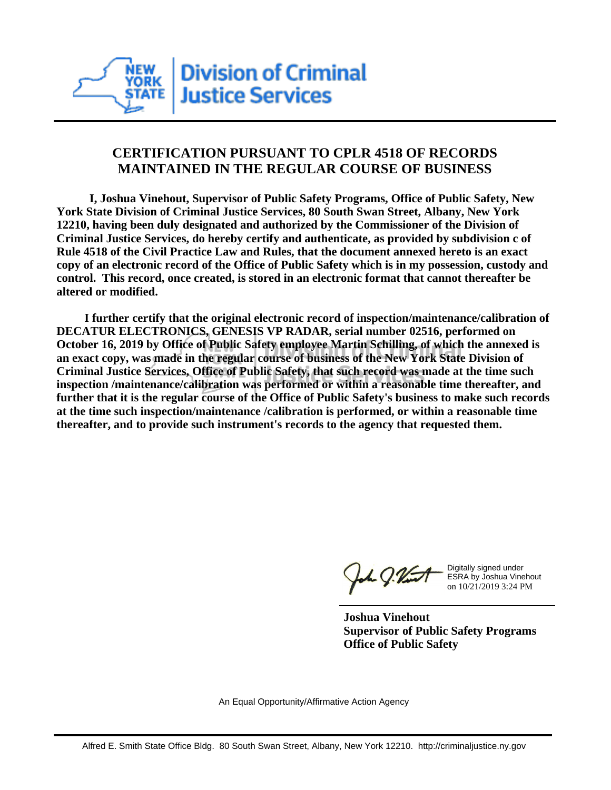

## **CERTIFICATION PURSUANT TO CPLR 4518 OF RECORDS MAINTAINED IN THE REGULAR COURSE OF BUSINESS**

 **I, Joshua Vinehout, Supervisor of Public Safety Programs, Office of Public Safety, New York State Division of Criminal Justice Services, 80 South Swan Street, Albany, New York 12210, having been duly designated and authorized by the Commissioner of the Division of Criminal Justice Services, do hereby certify and authenticate, as provided by subdivision c of Rule 4518 of the Civil Practice Law and Rules, that the document annexed hereto is an exact copy of an electronic record of the Office of Public Safety which is in my possession, custody and control. This record, once created, is stored in an electronic format that cannot thereafter be altered or modified.**

 **I further certify that the original electronic record of inspection/maintenance/calibration of DECATUR ELECTRONICS, GENESIS VP RADAR, serial number 02516, performed on October 16, 2019 by Office of Public Safety employee Martin Schilling, of which the annexed is an exact copy, was made in the regular course of business of the New York State Division of Criminal Justice Services, Office of Public Safety, that such record was made at the time such inspection /maintenance/calibration was performed or within a reasonable time thereafter, and further that it is the regular course of the Office of Public Safety's business to make such records at the time such inspection/maintenance /calibration is performed, or within a reasonable time thereafter, and to provide such instrument's records to the agency that requested them.**

the g. Vint

Digitally signed under ESRA by Joshua Vinehout on 10/21/2019 3:24 PM

**Joshua Vinehout Supervisor of Public Safety Programs Office of Public Safety**

An Equal Opportunity/Affirmative Action Agency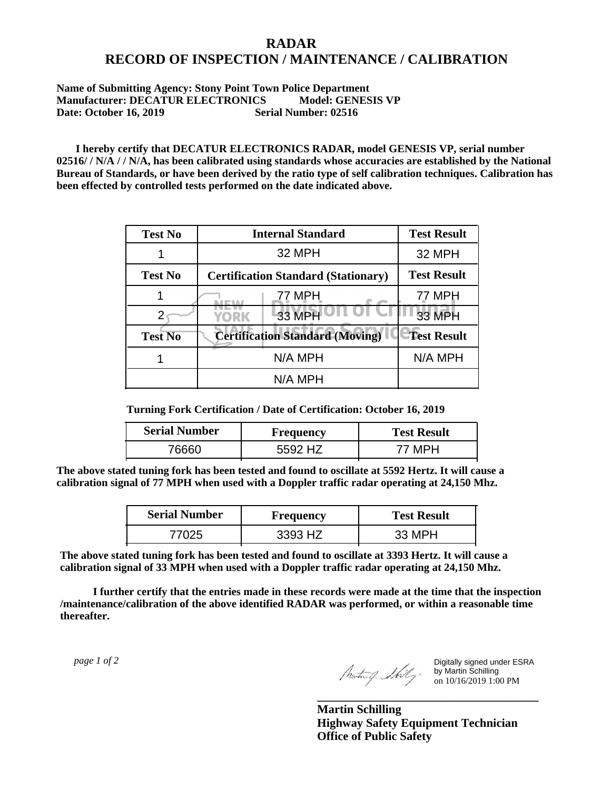## **RADAR RECORD OF INSPECTION / MAINTENANCE / CALIBRATION**

## **Name of Submitting Agency: Stony Point Town Police Department Manufacturer: DECATUR ELECTRONICS Model: GENESIS VP Date: October 16, 2019 Serial Number: 02516**

 **I hereby certify that DECATUR ELECTRONICS RADAR, model GENESIS VP, serial number 02516/ / N/A / / N/A, has been calibrated using standards whose accuracies are established by the National Bureau of Standards, or have been derived by the ratio type of self calibration techniques. Calibration has been effected by controlled tests performed on the date indicated above.**

| <b>Test No</b> | <b>Internal Standard</b>                   | <b>Test Result</b> |
|----------------|--------------------------------------------|--------------------|
|                | 32 MPH                                     | 32 MPH             |
| <b>Test No</b> | <b>Certification Standard (Stationary)</b> | <b>Test Result</b> |
|                | 77 MPH                                     | 77 MPH             |
|                | 33 MPH<br><b>YORK</b>                      | <b>33 MPH</b>      |
| <b>Test No</b> | <b>Certification Standard (Moving)</b>     | <b>Test Result</b> |
|                | N/A MPH                                    | N/A MPH            |
|                | N/A MPH                                    |                    |

**Turning Fork Certification / Date of Certification: October 16, 2019**

| <b>Serial Number</b> | <b>Frequency</b> | <b>Test Result</b> |
|----------------------|------------------|--------------------|
| 76660-               | . H7<br>わわひ ノ    | 77 MPH             |

**The above stated tuning fork has been tested and found to oscillate at 5592 Hertz. It will cause a calibration signal of 77 MPH when used with a Doppler traffic radar operating at 24,150 Mhz.**

| <b>Serial Number</b> | Frequency | <b>Test Result</b> |
|----------------------|-----------|--------------------|
| 77025                | 3393 HZ   | 33 MPH             |

**The above stated tuning fork has been tested and found to oscillate at 3393 Hertz. It will cause a calibration signal of 33 MPH when used with a Doppler traffic radar operating at 24,150 Mhz.**

 **I further certify that the entries made in these records were made at the time that the inspection /maintenance/calibration of the above identified RADAR was performed, or within a reasonable time thereafter.**

 *page 1 of 2* 

Digitally signed under ESRA by Martin Schilling on 10/16/2019 1:00 PM

**Martin Schilling Highway Safety Equipment Technician Office of Public Safety**

**\_\_\_\_\_\_\_\_\_\_\_\_\_\_\_\_\_\_\_\_\_\_\_\_\_\_\_\_\_\_\_\_\_\_\_\_\_**